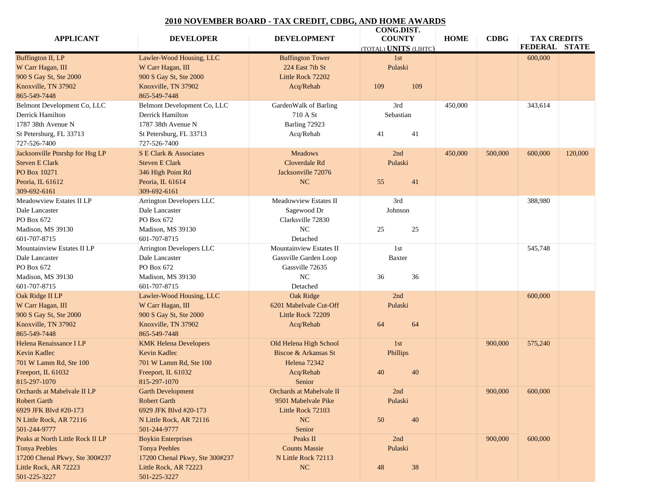## **2010 NOVEMBER BOARD - TAX CREDIT, CDBG, AND HOME AWARDS**

|                                  |                                 |                          | CONG.DIST.                          |             | $\bf CDBG$ |                                            |
|----------------------------------|---------------------------------|--------------------------|-------------------------------------|-------------|------------|--------------------------------------------|
| <b>APPLICANT</b>                 | <b>DEVELOPER</b>                | <b>DEVELOPMENT</b>       | <b>COUNTY</b><br>OTAL) UNITS (LIHTC | <b>HOME</b> |            | <b>TAX CREDITS</b><br><b>FEDERAL STATE</b> |
| <b>Buffington II, LP</b>         | Lawler-Wood Housing, LLC        | <b>Buffington Tower</b>  | 1st                                 |             |            | 600,000                                    |
| W Carr Hagan, III                | W Carr Hagan, III               | 224 East 7th St          | Pulaski                             |             |            |                                            |
| 900 S Gay St, Ste 2000           | 900 S Gay St, Ste 2000          | Little Rock 72202        |                                     |             |            |                                            |
| Knoxville, TN 37902              | Knoxville, TN 37902             | Acq/Rehab                | 109<br>109                          |             |            |                                            |
| 865-549-7448                     | 865-549-7448                    |                          |                                     |             |            |                                            |
|                                  |                                 |                          |                                     |             |            | 343,614                                    |
| Belmont Development Co, LLC      | Belmont Development Co, LLC     | GardenWalk of Barling    | 3rd                                 | 450,000     |            |                                            |
| Derrick Hamilton                 | Derrick Hamilton                | 710 A St                 | Sebastian                           |             |            |                                            |
| 1787 38th Avenue N               | 1787 38th Avenue N              | Barling 72923            |                                     |             |            |                                            |
| St Petersburg, FL 33713          | St Petersburg, FL 33713         | Acq/Rehab                | 41<br>41                            |             |            |                                            |
| 727-526-7400                     | 727-526-7400                    |                          |                                     |             |            |                                            |
| Jacksonville Ptnrshp for Hsg LP  | S E Clark & Associates          | Meadows                  | 2nd                                 | 450,000     |            | $500,000$ 600,000 120,000                  |
| Steven E Clark                   | Steven E Clark                  | Cloverdale Rd            | Pulaski                             |             |            |                                            |
| PO Box 10271                     | $346$ High Point Rd             | Jacksonville 72076       |                                     |             |            |                                            |
| Peoria, IL 61612                 | Peoria, IL 61614                | NC                       | 55<br>41                            |             |            |                                            |
| 309-692-6161                     | $309 - 692 - 6161$              |                          |                                     |             |            |                                            |
| Meadowview Estates II LP         | Arrington Developers LLC        | Meadowview Estates II    | 3rd                                 |             |            | 388,980                                    |
| Dale Lancaster                   | Dale Lancaster                  | Sagewood Dr              | Johnson                             |             |            |                                            |
| PO Box 672                       | PO Box 672                      | Clarksville 72830        |                                     |             |            |                                            |
| Madison, MS 39130                | Madison, MS 39130               | NC                       | 25<br>25                            |             |            |                                            |
|                                  | 601-707-8715                    |                          |                                     |             |            |                                            |
| 601-707-8715                     |                                 | Detached                 |                                     |             |            |                                            |
| Mountainview Estates II LP       | Arrington Developers LLC        | Mountainview Estates II  | 1st                                 |             |            | 545,748                                    |
| Dale Lancaster                   | Dale Lancaster                  | Gassville Garden Loop    | Baxter                              |             |            |                                            |
| PO Box 672                       | PO Box 672                      | Gassville 72635          |                                     |             |            |                                            |
| Madison, MS 39130                | Madison, MS 39130               | NC                       | 36 36                               |             |            |                                            |
| 601-707-8715                     | 601-707-8715                    | Detached                 |                                     |             |            |                                            |
| Oak Ridge II LP                  | Lawler-Wood Housing, LLC        | Oak Ridge                | 2nd                                 |             |            | 600,000                                    |
| W Carr Hagan, III                | W Carr Hagan, III               | 6201 Mabelvale Cut-Off   | Pulaski                             |             |            |                                            |
| 900 S Gay St, Ste 2000           | 900 S Gay St, Ste 2000          | Little Rock 72209        |                                     |             |            |                                            |
| Knoxville, TN 37902              | Knoxville, TN 37902             | Acq/Rehab                | 64<br>64                            |             |            |                                            |
| 865-549-7448                     | 865-549-7448                    |                          |                                     |             |            |                                            |
| Helena Renaissance I LP          | <b>KMK Helena Developers</b>    | Old Helena High School   | 1st                                 |             |            | 900,000 575,240                            |
| Kevin Kadlec                     | Kevin Kadlec                    | Biscoe & Arkansas St     | Phillips                            |             |            |                                            |
|                                  |                                 |                          |                                     |             |            |                                            |
| 701 W Lamm Rd, Ste 100           | $\sqrt{701}$ W Lamm Rd, Ste 100 | Helena 72342             |                                     |             |            |                                            |
| Freeport, IL 61032               | Freeport, IL 61032              | Acq/Rehab                | 40 40                               |             |            |                                            |
| 815-297-1070                     | $815 - 297 - 1070$              | Senior                   |                                     |             |            |                                            |
| Orchards at Mabelvale II LP      | Garth Development               | Orchards at Mabelvale II | 2nd                                 |             |            | $900,000$ 600,000                          |
| Robert Garth                     | Robert Garth                    | 9501 Mabelvale Pike      | Pulaski                             |             |            |                                            |
| 6929 JFK Blvd #20-173            | 6929 JFK Blvd #20-173           | Little Rock 72103        |                                     |             |            |                                            |
| N Little Rock, AR 72116          | N Little Rock, AR 72116         | NC                       | 50<br>40                            |             |            |                                            |
| 501-244-9777                     | 501-244-9777                    | Senior                   |                                     |             |            |                                            |
| Peaks at North Little Rock II LP | <b>Boykin Enterprises</b>       | Peaks II                 | 2nd                                 |             | 900,000    | 600,000                                    |
| Tonya Peebles                    | Tonya Peebles                   | <b>Counts Massie</b>     | Pulaski                             |             |            |                                            |
| 17200 Chenal Pkwy, Ste 300#237   | 17200 Chenal Pkwy, Ste 300#237  | N Little Rock 72113      |                                     |             |            |                                            |
| Little Rock, AR 72223            | Little Rock, AR 72223           | NC                       | 38<br>48                            |             |            |                                            |
| 501-225-3227                     | $501 - 225 - 3227$              |                          |                                     |             |            |                                            |
|                                  |                                 |                          |                                     |             |            |                                            |